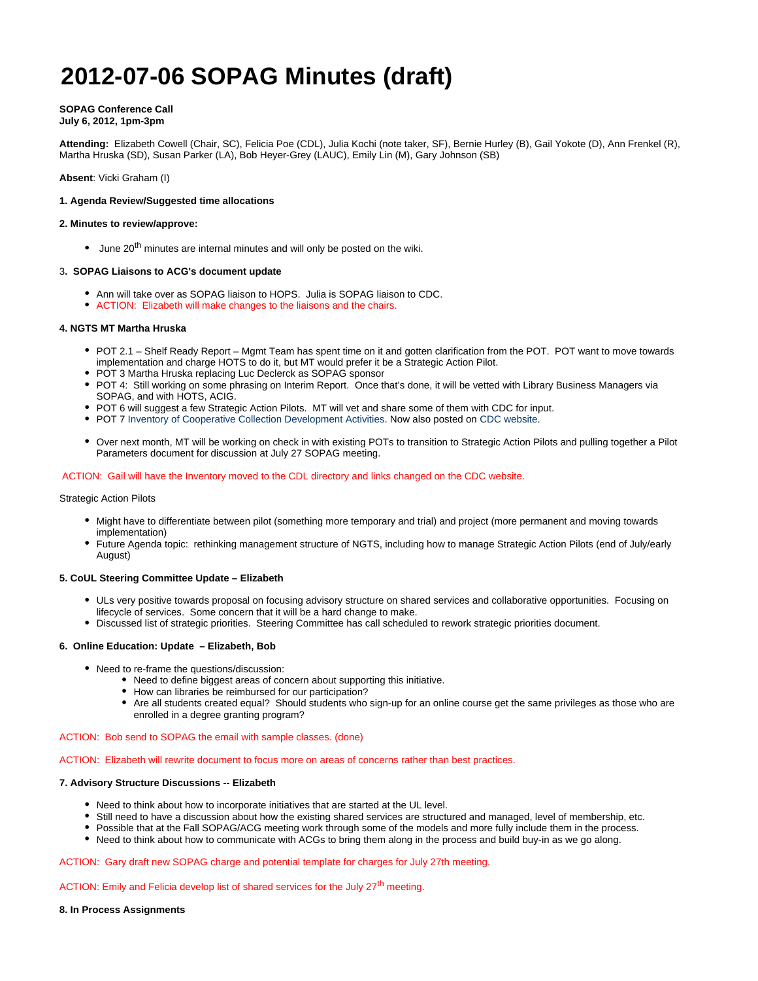# **2012-07-06 SOPAG Minutes (draft)**

# **SOPAG Conference Call**

# **July 6, 2012, 1pm-3pm**

**Attending:** Elizabeth Cowell (Chair, SC), Felicia Poe (CDL), Julia Kochi (note taker, SF), Bernie Hurley (B), Gail Yokote (D), Ann Frenkel (R), Martha Hruska (SD), Susan Parker (LA), Bob Heyer-Grey (LAUC), Emily Lin (M), Gary Johnson (SB)

**Absent**: Vicki Graham (I)

# **1. Agenda Review/Suggested time allocations**

#### **2. Minutes to review/approve:**

 $\bullet$  June 20<sup>th</sup> minutes are internal minutes and will only be posted on the wiki.

## 3**. SOPAG Liaisons to ACG's document update**

- Ann will take over as SOPAG liaison to HOPS. Julia is SOPAG liaison to CDC.
- ACTION: Elizabeth will make changes to the liaisons and the chairs.

## **4. NGTS MT Martha Hruska**

- POT 2.1 Shelf Ready Report Mgmt Team has spent time on it and gotten clarification from the POT. POT want to move towards implementation and charge HOTS to do it, but MT would prefer it be a Strategic Action Pilot.
- POT 3 Martha Hruska replacing Luc Declerck as SOPAG sponsor
- POT 4: Still working on some phrasing on Interim Report. Once that's done, it will be vetted with Library Business Managers via SOPAG, and with HOTS, ACIG.
- POT 6 will suggest a few Strategic Action Pilots. MT will vet and share some of them with CDC for input.
- POT 7 [Inventory of Cooperative Collection Development Activities.](https://wiki.library.ucsf.edu/download/attachments/52995397/Inventory+of+Cooperative+Collection+Development+Activities_MT.doc?version=1&modificationDate=1335131076000) Now also posted on [CDC website](http://libraries.universityofcalifornia.edu/cdc/).
- Over next month, MT will be working on check in with existing POTs to transition to Strategic Action Pilots and pulling together a Pilot Parameters document for discussion at July 27 SOPAG meeting.

#### ACTION: Gail will have the Inventory moved to the CDL directory and links changed on the CDC website.

#### Strategic Action Pilots

- Might have to differentiate between pilot (something more temporary and trial) and project (more permanent and moving towards implementation)
- Future Agenda topic: rethinking management structure of NGTS, including how to manage Strategic Action Pilots (end of July/early August)

#### **5. CoUL Steering Committee Update – Elizabeth**

- ULs very positive towards proposal on focusing advisory structure on shared services and collaborative opportunities. Focusing on lifecycle of services. Some concern that it will be a hard change to make.
- Discussed list of strategic priorities. Steering Committee has call scheduled to rework strategic priorities document.

## **6. Online Education: Update – Elizabeth, Bob**

- Need to re-frame the questions/discussion:
	- Need to define biggest areas of concern about supporting this initiative.
	- How can libraries be reimbursed for our participation?
	- Are all students created equal? Should students who sign-up for an online course get the same privileges as those who are enrolled in a degree granting program?

### ACTION: Bob send to SOPAG the email with sample classes. (done)

ACTION: Elizabeth will rewrite document to focus more on areas of concerns rather than best practices.

# **7. Advisory Structure Discussions -- Elizabeth**

- Need to think about how to incorporate initiatives that are started at the UL level.
- Still need to have a discussion about how the existing shared services are structured and managed, level of membership, etc.
- Possible that at the Fall SOPAG/ACG meeting work through some of the models and more fully include them in the process.
- Need to think about how to communicate with ACGs to bring them along in the process and build buy-in as we go along.

## ACTION: Gary draft new SOPAG charge and potential template for charges for July 27th meeting.

## ACTION: Emily and Felicia develop list of shared services for the July 27<sup>th</sup> meeting.

#### **8. In Process Assignments**